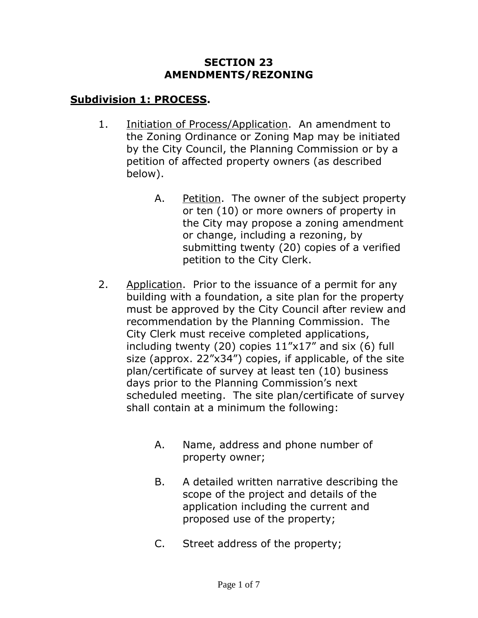#### **SECTION 23 AMENDMENTS/REZONING**

# **Subdivision 1: PROCESS.**

- 1. Initiation of Process/Application. An amendment to the Zoning Ordinance or Zoning Map may be initiated by the City Council, the Planning Commission or by a petition of affected property owners (as described below).
	- A. Petition. The owner of the subject property or ten (10) or more owners of property in the City may propose a zoning amendment or change, including a rezoning, by submitting twenty (20) copies of a verified petition to the City Clerk.
- 2. Application. Prior to the issuance of a permit for any building with a foundation, a site plan for the property must be approved by the City Council after review and recommendation by the Planning Commission. The City Clerk must receive completed applications, including twenty (20) copies 11"x17" and six (6) full size (approx. 22"x34") copies, if applicable, of the site plan/certificate of survey at least ten (10) business days prior to the Planning Commission's next scheduled meeting. The site plan/certificate of survey shall contain at a minimum the following:
	- A. Name, address and phone number of property owner;
	- B. A detailed written narrative describing the scope of the project and details of the application including the current and proposed use of the property;
	- C. Street address of the property;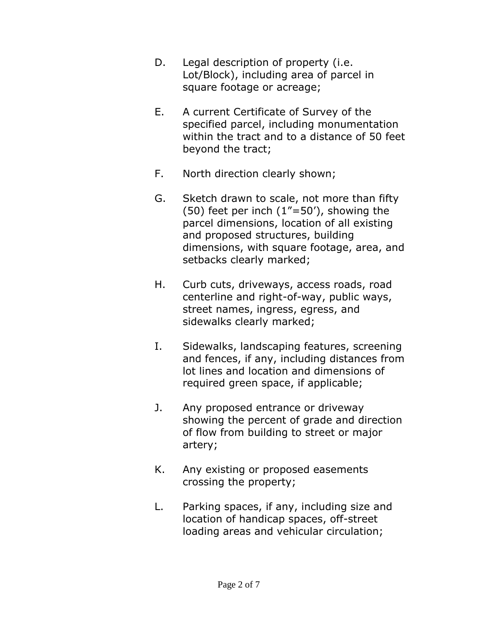- D. Legal description of property (i.e. Lot/Block), including area of parcel in square footage or acreage;
- E. A current Certificate of Survey of the specified parcel, including monumentation within the tract and to a distance of 50 feet beyond the tract;
- F. North direction clearly shown;
- G. Sketch drawn to scale, not more than fifty (50) feet per inch (1"=50'), showing the parcel dimensions, location of all existing and proposed structures, building dimensions, with square footage, area, and setbacks clearly marked;
- H. Curb cuts, driveways, access roads, road centerline and right-of-way, public ways, street names, ingress, egress, and sidewalks clearly marked;
- I. Sidewalks, landscaping features, screening and fences, if any, including distances from lot lines and location and dimensions of required green space, if applicable;
- J. Any proposed entrance or driveway showing the percent of grade and direction of flow from building to street or major artery;
- K. Any existing or proposed easements crossing the property;
- L. Parking spaces, if any, including size and location of handicap spaces, off-street loading areas and vehicular circulation;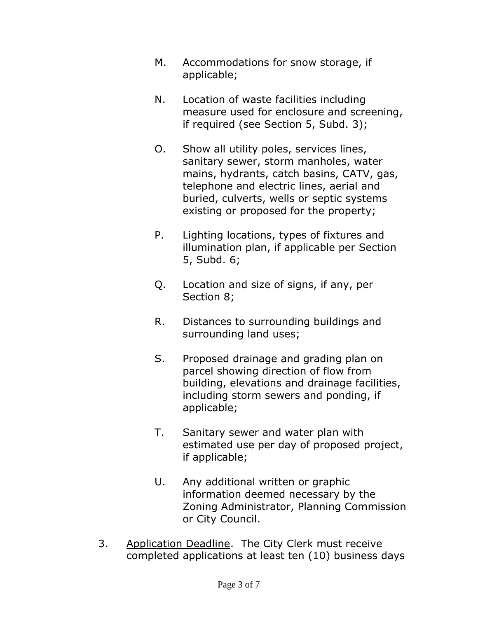- M. Accommodations for snow storage, if applicable;
- N. Location of waste facilities including measure used for enclosure and screening, if required (see Section 5, Subd. 3);
- O. Show all utility poles, services lines, sanitary sewer, storm manholes, water mains, hydrants, catch basins, CATV, gas, telephone and electric lines, aerial and buried, culverts, wells or septic systems existing or proposed for the property;
- P. Lighting locations, types of fixtures and illumination plan, if applicable per Section 5, Subd. 6;
- Q. Location and size of signs, if any, per Section 8;
- R. Distances to surrounding buildings and surrounding land uses;
- S. Proposed drainage and grading plan on parcel showing direction of flow from building, elevations and drainage facilities, including storm sewers and ponding, if applicable;
- T. Sanitary sewer and water plan with estimated use per day of proposed project, if applicable;
- U. Any additional written or graphic information deemed necessary by the Zoning Administrator, Planning Commission or City Council.
- 3. Application Deadline. The City Clerk must receive completed applications at least ten (10) business days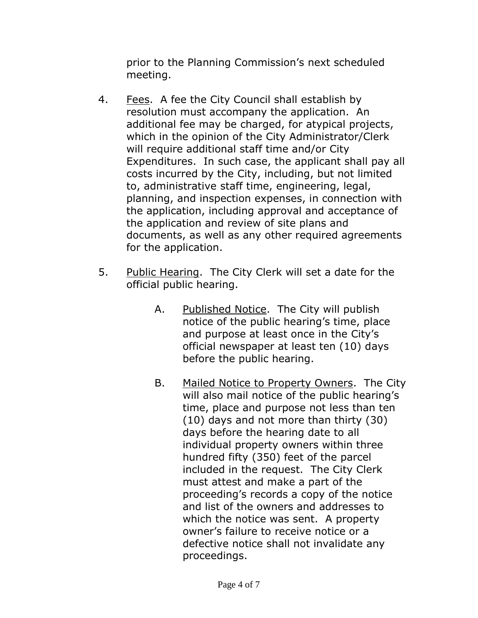prior to the Planning Commission's next scheduled meeting.

- 4. Fees. A fee the City Council shall establish by resolution must accompany the application. An additional fee may be charged, for atypical projects, which in the opinion of the City Administrator/Clerk will require additional staff time and/or City Expenditures. In such case, the applicant shall pay all costs incurred by the City, including, but not limited to, administrative staff time, engineering, legal, planning, and inspection expenses, in connection with the application, including approval and acceptance of the application and review of site plans and documents, as well as any other required agreements for the application.
- 5. Public Hearing. The City Clerk will set a date for the official public hearing.
	- A. Published Notice. The City will publish notice of the public hearing's time, place and purpose at least once in the City's official newspaper at least ten (10) days before the public hearing.
	- B. Mailed Notice to Property Owners. The City will also mail notice of the public hearing's time, place and purpose not less than ten (10) days and not more than thirty (30) days before the hearing date to all individual property owners within three hundred fifty (350) feet of the parcel included in the request. The City Clerk must attest and make a part of the proceeding's records a copy of the notice and list of the owners and addresses to which the notice was sent. A property owner's failure to receive notice or a defective notice shall not invalidate any proceedings.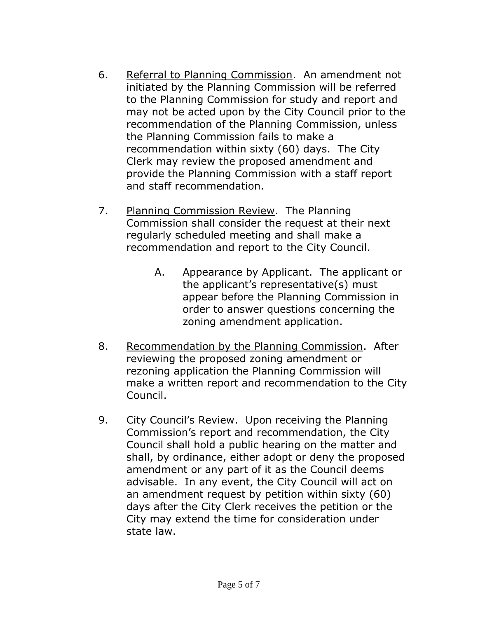- 6. Referral to Planning Commission. An amendment not initiated by the Planning Commission will be referred to the Planning Commission for study and report and may not be acted upon by the City Council prior to the recommendation of the Planning Commission, unless the Planning Commission fails to make a recommendation within sixty (60) days. The City Clerk may review the proposed amendment and provide the Planning Commission with a staff report and staff recommendation.
- 7. Planning Commission Review. The Planning Commission shall consider the request at their next regularly scheduled meeting and shall make a recommendation and report to the City Council.
	- A. Appearance by Applicant. The applicant or the applicant's representative(s) must appear before the Planning Commission in order to answer questions concerning the zoning amendment application.
- 8. Recommendation by the Planning Commission. After reviewing the proposed zoning amendment or rezoning application the Planning Commission will make a written report and recommendation to the City Council.
- 9. City Council's Review. Upon receiving the Planning Commission's report and recommendation, the City Council shall hold a public hearing on the matter and shall, by ordinance, either adopt or deny the proposed amendment or any part of it as the Council deems advisable. In any event, the City Council will act on an amendment request by petition within sixty (60) days after the City Clerk receives the petition or the City may extend the time for consideration under state law.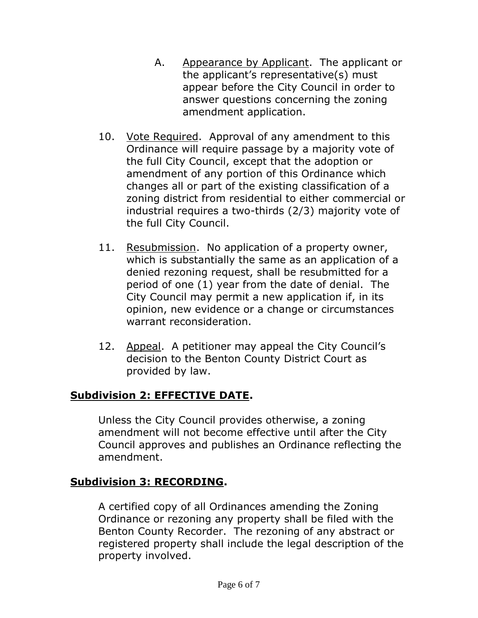- A. Appearance by Applicant. The applicant or the applicant's representative(s) must appear before the City Council in order to answer questions concerning the zoning amendment application.
- 10. Vote Required. Approval of any amendment to this Ordinance will require passage by a majority vote of the full City Council, except that the adoption or amendment of any portion of this Ordinance which changes all or part of the existing classification of a zoning district from residential to either commercial or industrial requires a two-thirds (2/3) majority vote of the full City Council.
- 11. Resubmission. No application of a property owner, which is substantially the same as an application of a denied rezoning request, shall be resubmitted for a period of one (1) year from the date of denial. The City Council may permit a new application if, in its opinion, new evidence or a change or circumstances warrant reconsideration.
- 12. Appeal. A petitioner may appeal the City Council's decision to the Benton County District Court as provided by law.

## **Subdivision 2: EFFECTIVE DATE.**

Unless the City Council provides otherwise, a zoning amendment will not become effective until after the City Council approves and publishes an Ordinance reflecting the amendment.

## **Subdivision 3: RECORDING.**

A certified copy of all Ordinances amending the Zoning Ordinance or rezoning any property shall be filed with the Benton County Recorder. The rezoning of any abstract or registered property shall include the legal description of the property involved.